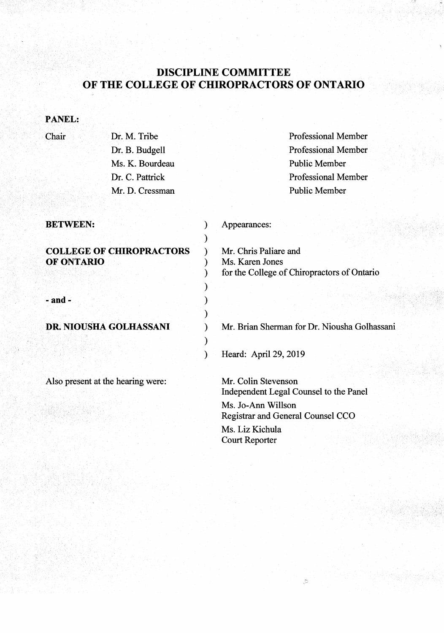# DISCIPLINE COMMITTEE OF THE COLLEGE OF CHIROPRACTORS OF ONTARIO

## PANEL:

### Chair

Dr. M. Tribe Dr. B. Budgell Ms. K. Bourdeau Dr. C. Pattrick Mr. D. Cressman Professional Member Professional Member Public Member Professional Member Public Member

| <b>BETWEEN:</b>                               | Appearances:                                                                            |
|-----------------------------------------------|-----------------------------------------------------------------------------------------|
| <b>COLLEGE OF CHIROPRACTORS</b><br>OF ONTARIO | Mr. Chris Paliare and<br>Ms. Karen Jones<br>for the College of Chiropractors of Ontario |
| $-$ and $-$                                   |                                                                                         |
| DR. NIOUSHA GOLHASSANI                        | Mr. Brian Sherman for Dr. Niousha Golhassani                                            |

Also present at the hearing were:

) Heard: April29, 2019

Mr. Colin Stevenson Independent Legal Counsel to the Panel Ms. Jo-Ann Willson

.d

Registrar and General Counsel CCO

Ms. Liz Kichula Court Reporter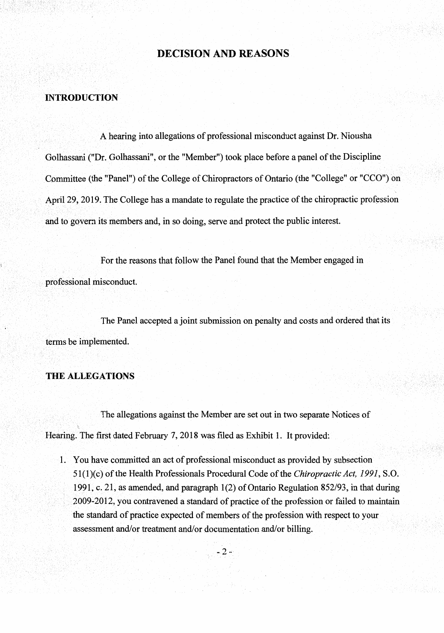## **DECISION AND REASONS**

#### **INTRODUCTION**

A hearing into allegations of professional misconduct against Dr. Niousha Golhassani ("Dr. Golhassani", or the "Member") took place before a panel of the Discipline Committee (the "Panel") of the College of Chiropractors of Ontario (the "College" or "CCO") on April 29, 2019. The College has a mandate to regulate the practice of the chiropractic profession and to govern its members and, in so doing, serve and protect the public interest.

For the reasons that follow the Panel found that the Member engaged in professional misconduct.

The Panel accepted a joint submission on penalty and costs and ordered that its terms be implemented.

#### **. THE ALLEGATIONS**

The allegations against the Member are set out in two separate Notices of Hearing. The first dated February 7, 2018 was filed as Exhibit 1. It provided:

1. You have committed an act of professional misconduct as provided by subsection 51(1)(c) of the Health Professionals Procedural Code of the *Chiropractic Act, 1991*, S.O. 1991, c.2l,as amended, and paragraph 1(2) of Ontario Regulation 852/93, in that during 2009-2012, you contravened a standard of practice of the profession or failed to maintain the standard of practice expected of members of the profession with respect to your assessment and/or treatment and/or documentation and/or billing.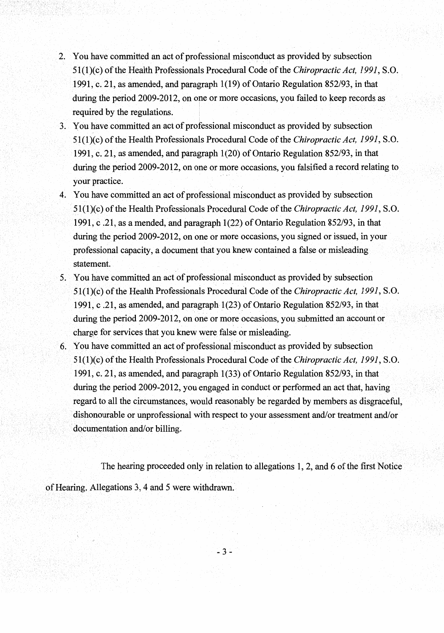- 2. You have committed an act of professional misconduct as provided by subsection 51(1)(c) of the Health Professionals Procedural Code of the *Chiropractic Act*, 1991, S.O. 1991, c. 21, as amended, and paragraph 1(19) of Ontario Regulation 852/93, in that during the period  $2009-2012$ , on one or more occasions, you failed to keep records as required by the regulations.
- 3. X ou have committed an act of professional misconduct as provided by subsection 51(l)(c) of the Health Professionals Procedural Code of the *Chiropractic Act, 1991,* S.O. 1991, c. 21, as amended, and paragraph 1(20) of Ontario Regulation 852/93, in that during the period 2009-2012, on one or more occasions, you falsified a record relating to . your practice.
- 4. You have committed an act of professional misconduct as provided by subsection 51(1)(c}ofthe Health Professionals Procedural Code of the *Chiropractic Act, 1991,* S.O. 1991, c .21, as a mended, and paragraph 1(22) of Ontario Regulation 852/93, in that during the period 2009-2012, on one or more occasions, you signed or issued, in your professional capacity, a document that you knew contained a false or misleading statement.<br>Det geta en de la proposition de la proposition de la proposition de la proposition de la proposition de la pr
- 5. You have committed an act of professional misconduct as provided by subsection 51 ( 1 )(c) of the Health Professionals Procedunil Code of the *Chiropractic Act, 1991,* S. 0. 1991, c .21, as amended, and paragraph·l(23) of Ontario Regulation 852/93, in that during the period  $2009-2012$ , on one or more occasions, you submitted an account or charge for services that you knew were false or misleading.
- 6. You have committed an act of professional misconduct as provided by subsection 5l(l)(c) of the Health Professionals Procedural Code of the *Chiropractic Act, 1991,* S.O. 1991, c. 21, as amended, and paragraph  $1(33)$  of Ontario Regulation 852/93, in that during the period 2009-2012, you engaged in conduct or performed an act that, having regard to all the circumstances, would reasonably be regarded by members as disgraceful, dishonourable or unprofessional with respect to your assessment and/or treatment and/or documentation and/ or billing.

The hearing proceeded only in relation to allegations  $1, 2$ , and  $6$  of the first Notice of Hearing. Allegations 3, 4 and 5 were withdrawn.

 $-3-$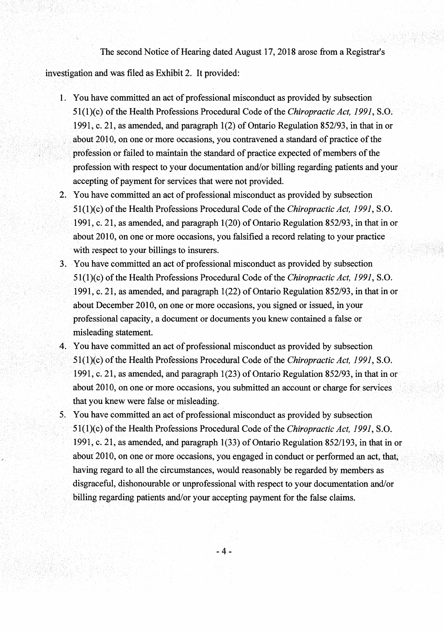The second Notice of Hearing dated August 17,2018 arose from a Registrar's

investigation and was filed as Exhibit 2. It provided:

- 1. You have committed an act of professional misconduct as provided by subsection 51(1)(c) of the Health Professions Procedural Code of the *Chiropractic Act, 1991,* S.O. 1991, c.21, as amended, and paragraph 1(2) of Ontario Regulation 852/93, in that in or about 2010, on one or more occasions, you contravened a standard of practice of the profession or failed to maintain the standard of practice expected of members of the profession with respect to your documentation and/or billing regarding patients and your accepting of payment for services that were not provided.
- 2. You have committed an act of professional misconduct as provided by subsection 51(1)(c) ofthe Health Professions Procedural Code ofthe *Chiropractic Act, 1991,* S.O. 1991, c. 21, as amended, and paragraph  $1(20)$  of Ontario Regulation 852/93, in that in or about 2010, on one or more occasions, you falsified a record relating to your practice with respect to your billings to insurers.
- 3. .·You have committed an act of professional misconduct as provided by subsection 51(1)(c) ofthe Health Professions Procedural Code ofthe *Chiropractic Act, 1991,* S.O. 1991, c. 21, as amended, and paragraph 1(22) of Ontario Regulation 852/93, in that in or about December 2010, on one or more occasions, you signed or issued, in your professional capacity, a document or documents you knew contained a false or misleading statement.
- 4. You have committed an act of professional misconduct as provided by subsection 51(1)(c) of the Health Professions Procedural Code of the *Chiropractic Act, 1991*, S.O. 1991, c. 21, as amended, and paragraph  $1(23)$  of Ontario Regulation 852/93, in that in or about 2010, on one or more occasions, you submitted an account or charge for services that you knew were false or misleading.
- You have committed an act of professional misconduct as provided by subsection 51(l)(c) of the Health Professions Procedural Code of the *Chiropractic Act, 1991,* S.O. 1991, c. 21, as amended, and paragraph  $1(33)$  of Ontario Regulation 852/193, in that in or about 2010, on one or more occasions, you engaged in conduct or performed an having regard to all the circumstances, would reasonably be regarded by members as disgraceful, dishonourable or unprofessional with respect to your documentation and/or billing regarding patients and/or your accepting payment for the false claims.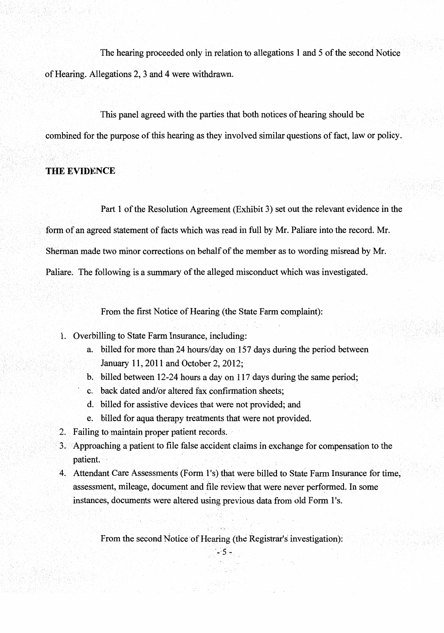The hearing proceeded only in relation to allegations **1** and 5 of the second Notice ofHearing. Allegations 2, 3 and 4 were withdrawn.

This panel agreed with the parties that both notices of hearing should be combined for the purpose of this hearing as they involved similar questions of fact, law or policy.

## **THE EVIDENCE**

Part 1 of the Resolution Agreement (Exhibit 3) set out the relevant evidence in the form of an agreed statement of facts which was read in full by Mr. Paliare into the record. Mr. Sherman made two minor corrections on behalf of the member as to wording misread by Mr. Paliare. The following is a summary of the alleged misconduct which was investigated.

From the first Notice of Hearing (the State Farm complaint):

- 1. Overbilling to State Farm Insurance, including:
	- a. billed for more than 24 hours/day on 157 days during the period between January 11, 2011 and October 2, 2012;
	- b. billed between 12-24 hours a day on 117 days during the same period;
	- c. back dated and/or altered fax confirmation sheets;
	- d. billed for assistive devices that were not provided; and
	- e. billed for aqua therapy treatments that were not provided.
- 2. Failing to maintain proper patient records.
- 3.' Approaching a patient to file false accident claims in exchange for compensation to the patient.
- 4. Attendant Care Assessments (Form 1's) that were billed to State Farm Insurance for time, assessment, mileage, document and file review that were never performed. In some instances, documents were altered using previous data from old Form 1's.

From the second Notice of Hearing (the Registrar's investigation):  $-5 -$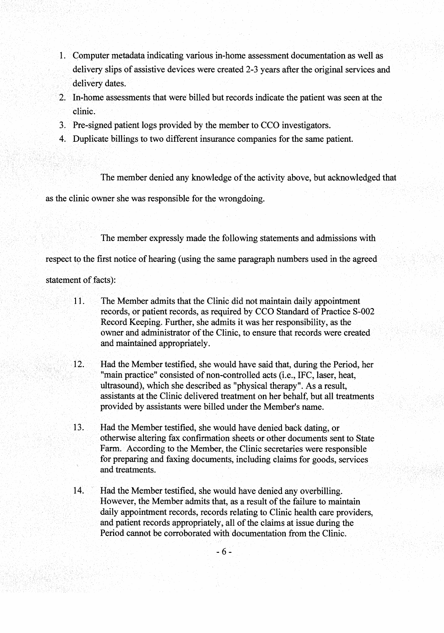- 1. Computer metadata indicating various in-home assessment documentation as well as delivery slips of assistive devices were created 2-3 years after the original services and delivery dates.
- 2. In-home assessments that were billed but records indicate the patient was seen at the clinic.
- 3. Pre-signed patient logs provided by the member to CCO investigators.
- 4. Duplicate billings to two different insurance companies for the same patient.

The member denied any knowledge of the activity above, but acknowledged that

as the clinic owner she was responsible for the wrongdoing.

The member expressly made the following statements and admissions with

respect to the first notice of hearing (using the same paragraph numbers used in the agreed

statement of facts):

- 11. The Member admits that the Clinic did not maintain daily appointment records, or patient records, as required by CCO Standard of Practice S-002 Record Keeping. Further, she admits it was her responsibility, as the owner and administrator of the Clinic, to ensure that records were created and maintained appropriately.
- $12.$ Had the Member testified, she would have said that, during the Period, her "main practice" consisted of non-controlled acts (i.e., IFC, laser, heat, ultrasound), which she described as "physical therapy". As a result, assistants at the Clinic delivered treatment on her behalf, but all treatments provided by assistants were billed under the Member's name.
- 13. Had the Member testified, she would have denied back dating, or otherwise altering fax confirmation sheets or other documents sent to State Farm. According to the Member, the Clinic secretaries were responsible for preparing and faxing documents, including claims for goods, services and treatments.
- 14. Had the Member testified, she would have denied any overbilling. However, the Member admits that, as a result of the failure to maintain daily appointment records, records relating to Clinic health care providers, and patient records appropriately, all of the claims at issue during the Period cannot be corroborated with documentation from the Clinic.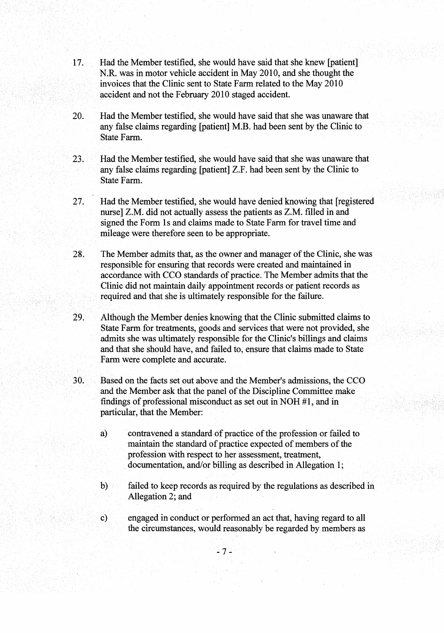- I7. Had the Member testified, she would have said that she knew [patient] N.R. was in motor vehicle accident in May 20IO, and she thought the invoices that the Clinic sent to State Farm related to the May 2010 accident and not the February 2010 staged accident.
- 20. Had the Member testified, she would have said that she was unaware that any false claims regarding [patient] M.B. had been sent by the Clinic to State Farm.
- 23. Had the Member testified, she would have said that she was unaware that any false claims regarding [patient] Z.F. had been sent by the Clinic to State Farm.
- 27. Had the Member testified, she would have denied knowing that [registered nurse] Z.M. did not actually assess the patients as Z.M. filled in and signed the Form Is and claims made to State Farm for travel time and mileage were therefore seen to be appropriate.
- 28. The Member admits that, as the owner and manager of the Clinic, she was responsible for ensuring that records were created and maintained in accordance with CCO standards of practice. The Member admits that the Clinic did not maintain daily appointment records or patient records as required and that she is ultimately responsible for the failure.
- 29. Although the Member denies knowing that the Clinic submitted claims to State Farm for treatments, goods and services that were not provided, she admits she was ultimately responsible for the Clinic's billings and claims and that she should have, and failed to, ensure that claims made to State Farm were complete and accurate.
- 30. Based on the facts set out above and the Member's admissions, the CCO and the Member ask that the panel of the Discipline Committee make findings of professional misconduct as set out in NOH #I, and in particular, that the Member:
	- a) contravened a standard of practice of the profession or failed to maintain the standard of practice expected of members of the profession with respect to her assessment, treatment, documentation, and/or billing as described in Allegation 1;
	- b) failed to keep records as required by the regulations as described in Allegation 2; and
	- c) engaged in conduct or performed an act that, having regard to all the circumstances, would reasonably be regarded by members as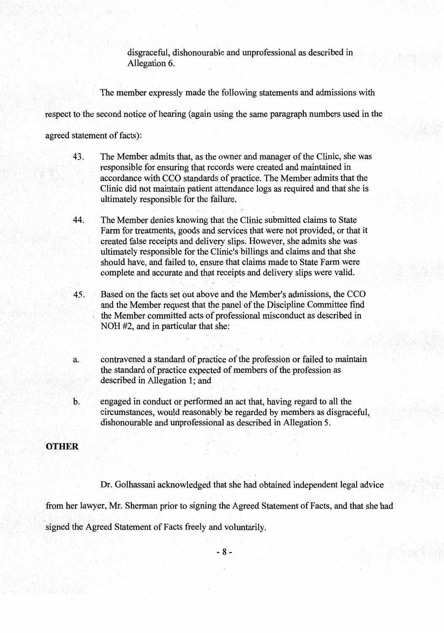disgraceful, dishonourable and unprofessional as described in Allegation 6.

The member expressly made the following statements and admissions with

respect to the second notice of hearing (again using the same paragraph numbers used in the

agreed statement of facts):

- $43.$ The Member admits that, as the owner and manager of the Clinic, she was responsible for ensuring that records were created and maintained in accordance with CCO standards of practice. The Member admits that the Clinic did not maintain patient attendance logs as required and that she is ultimately responsible for the failure.
- The Member denies knowing that the Clinic submitted claims to State 44. Farm for treatments, goods and services that were not provided, or that it created false receipts and delivery slips. However, she admits she was ultimately responsible for the Clinic's billings and claims and that she should have, and failed to, ensure that claims made to State Farm were complete and accurate and that receipts and delivery slips were valid.
- 45. Based on the facts set out above and the Member's admissions, the CCO and the Member request that the panel of the Discipline Committee find the Member committed acts of professional misconduct as described in NOH #2, and in particular that she:
- contravened a standard of practice of the profession or failed to maintain a. the standard of practice expected of members of the profession as described in Allegation 1; and
- engaged in conduct or performed an act that, having regard to all the b. circumstances, would reasonably be regarded by members as disgraceful, dishonourable and unprofessional as described in Allegation 5.

#### **OTHER**

Dr. Golhassani acknowledged that she had obtained independent legal advice

from her lawyer, Mr. Sherman prior to signing the Agreed Statement of Facts, and that she had

signed the Agreed Statement of Facts freely and voluntarily.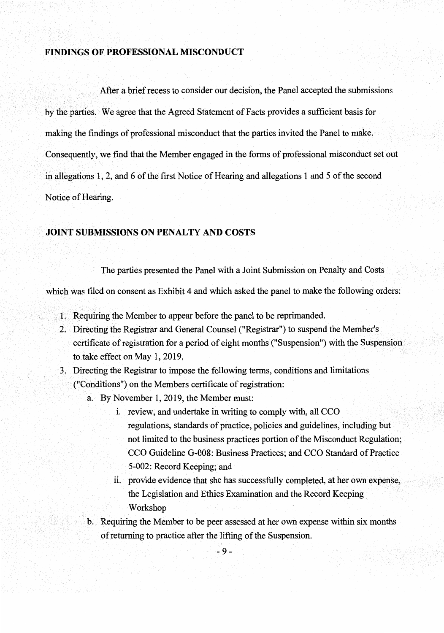#### **FINDINGS OF PROFESSIONAL MISCONDUCT**

a brief recess to consider our decision, the Panel accepted the submissions by the parties. We agree that the Agreed Statement of Facts provides a sufficient basis for making the findings of professional misconduct that the parties invited the Panel to make. Consequently, we find that the Member engaged in the forms of professional misconduct set out in allegations 1, 2, and 6 of the first Notice of Hearing and allegations 1 and 5 of the second Notice of Hearing.

#### **JOINT SUBMISSIONS ON PENALTY AND COSTS**

The parties presented the Panel with a Joint Submission on Penalty and Costs

which was filed on consent as Exhibit 4 and which asked the panel to make the following orders:

- 1. Requiring the Member to appear before the panel to be reprimanded.
- 2. Directing the Registrar and General Counsel ("Registrar") to suspend the Member's certificate of registration for a period of eight months ("Suspension") with the Suspension to take effect on May 1, 2019.
- Directing the Registrar to impose the following terms, conditions and limitations ("Conditions") on the Members certificate of registration:
	- a. By November 1, 2019, the Member must:
		- i. review, and undertake in writing to comply with, all CCO. regulations, standards of practice, policies and guidelines, including not limited to the business practices portion of the Misconduct Regulation; CCO Guideline G-008: Business Practices; and CCO Standard of Practice 5-002: Record Keeping; and
		- ii. provide evidence that she has successfully completed, at her own expense, the Legislation and Ethics Examination and the Record Keeping Workshop
	- Requiring the Member to be peer assessed at her own expense within six months of returning to practice after the'lifting of the Suspension.

 $-9-$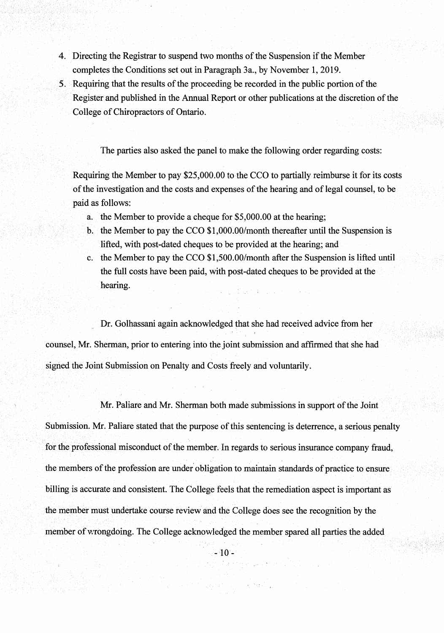- 4. Directing the Registrar to suspend two months of the Suspension if the Member completes the Conditions set out in Paragraph 3a., by November 1, 2019.
- *5.* Requiring that the results of the proceeding be recorded in the public portion of the Register and published in the Annual Report or other publications at the discretion of the College of Chiropractors of Ontario.

The parties also asked the panel to make the following order regarding costs:

Requiring the Member to pay  $$25,000.00$  to the CCO to partially reimburse it for its costs of the investigation and the costs and expenses of the hearing and of legal counsel, to be paid as follows:

- a. the Member to provide a cheque for \$5,000.00 at the hearing;
- b. the Member to pay the CCO \$1 ,000.00/month thereafter until the Suspension is lifted, with post-dated cheques to be provided at the hearing; and
- c. the Member to pay the CCO \$1,500.00/month after the Suspension is lifted until the full costs have been paid, with post-dated cheques to be provided at the hearing.

Dr. Golhassani again acknowledged that she had received advice from her counsel, Mr. Sherman, prior to entering into the joint submission and affirmed that she had signed the Joint Submission on Penalty and Costs freely and voluntarily.

Mr. Paliare and Mr. Sherman both made submissions in support of the Joint Submission. Mr. Paliare stated that the purpose of this sentencing is deterrence, a serious penalty for the professional misconduct of the member. In regards to serious insurance company fraud, the members of the profession are under obligation to maintain standards of practice to ensure billing is accurate and consistent. The College feels that the remediation aspect is important as the member must undertake course review and the College does see the recognition by the member of wrongdoing. The College acknowledged the member spared all parties the added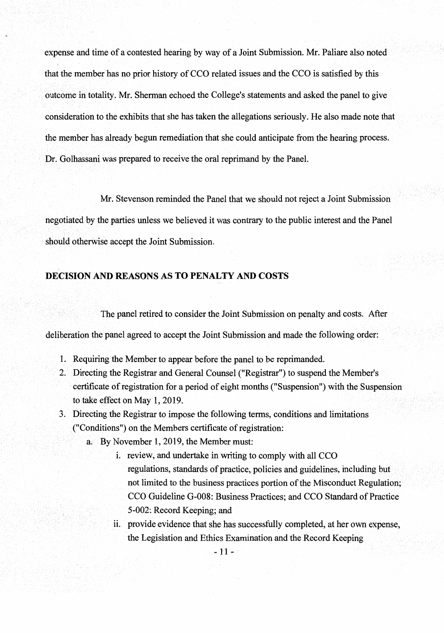expense and time of a contested hearing by way of a Joint Submission. Mr. Paliare also noted that the member has no prior history of CCO related issues and the CCO is satisfied by this outcome in totality. Mr. Sherman echoed the College's statements and asked the panel to give consideration to the exhibits that she has taken the allegations seriously. He also made note that the member has already begun remediation that she could anticipate from the hearing process. Dr. Golhassani was prepared to receive the oral reprimand by the Panel.

Mr. Stevenson reminded the Panel that we should not reject a Joint Submission negotiated by the parties unless we believed it was contrary to the public interest and the Panel should otherwise accept the Joint Submission.

## **DECISION AND REASONS AS TO PENALTY AND COSTS**

The panel retired to consider the Joint Submission on penalty and costs. After

deliberation the panel agreed to accept the Joint Submission and made the following order:

- 1. Requiring the Member to appear before the panel to be reprimanded.
- Directing the Registrar and General Counsel ("Registrar") to suspend the Member's certificate of registration for a period of eight months ("Suspension") with the Suspension to take effect on May 1, 2019.
- 3. Directing the Registrar to impose the following terms, conditions and limitations ("Conditions") on the Members certificate of registration:
	- a. By November 1, 2019, the Member must:
		- 1. review, and undertake in writing to comply with all CCO. regulations, standards of practice, policies and guidelines, including but not limited to the business practices portion of the Misconduct Regulation; CCO Guideline G-008: Business Practices; and CCO Standard of Practice 5-002: Record Keeping; and
		- ii. provide evidence that she has successfully completed, at her own expense, the Legislation and Ethics Examination and the Record Keeping

 $-11 -$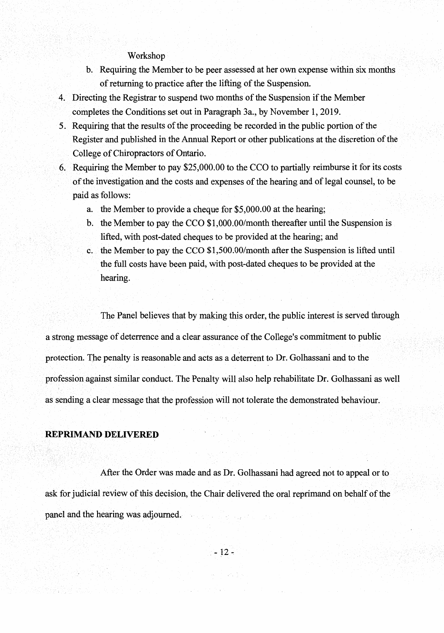## Workshop

- b. Requiring the Member to be peer assessed at her own expense within six months of returning to practice after the lifting of the Suspension.
- 4. Directing the Registrar to suspend two months of the Suspension if the Member completes the Conditions set out in Paragraph 3a., by November 1, 2019.
- 5. Requiring that the results of the proceeding be recorded in the public portion of the Register and published in the Annual Report or other publications at the discretion of the College of Chiropractors of Ontario.
- 6. Requiring the Member to pay \$25,000.00 to the CCO to partially reimburse it for its costs ofthe investigation and the costs and expenses of the hearing and of legal counsel, to be paid as follows:
	- a. the Member to provide a cheque for \$5,000.00 at the hearing;
	- b. the Member to pay the CCO  $$1,000.00/$  month thereafter until the Suspension is lifted, with post-dated cheques to be provided at the hearing; and
	- c. the Memberto pay the CCO \$1,500.00/month after the Suspension is lifted until the full costs have been paid, with post-dated cheques to be provided at the hearing.

The Panel believes that by making this order, the public interest is served through astrong message of deterrence and a clear assurance of the College's commitment to public protection. The penalty is reasonable and acts as a deterrent to Dr. Golhassani and to the profession against similar conduct. The Penalty will also help rehabilitate Dr. Golhassani as well as sending a clear message that the profession will not tolerate the demonstrated behaviour.

#### **REPRIMAND DELIVERED**

After the Order was made and as Dr. Golhassani had agreed not to appeal or to ask for judicial review of this decision, the Chair delivered the oral reprimand on behalf of the panel and the hearing was adjourned.